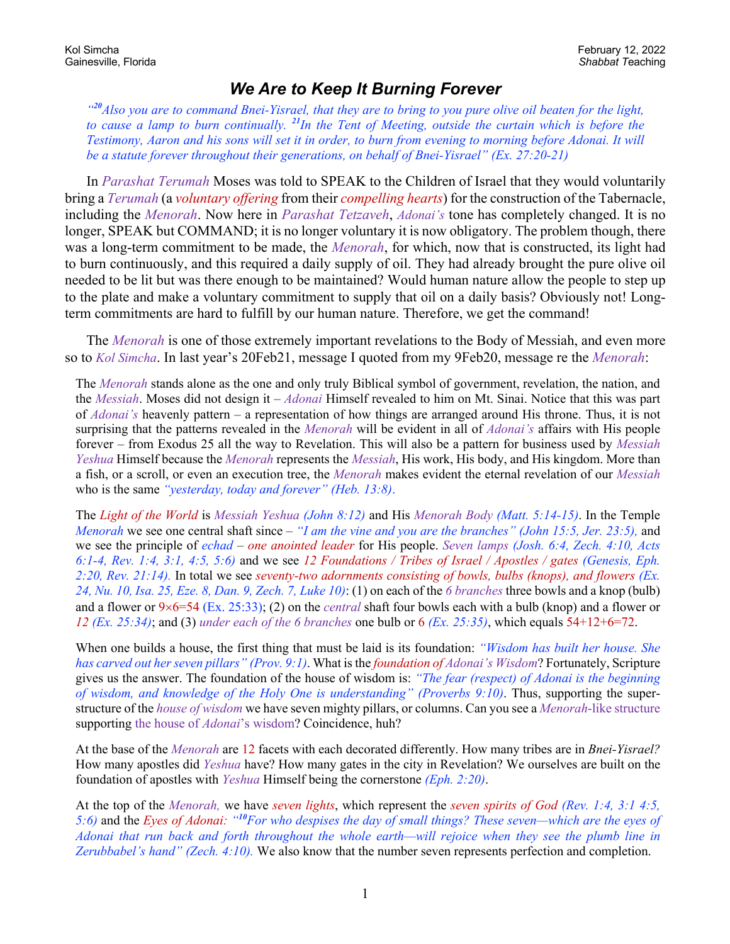## *We Are to Keep It Burning Forever*

*"<sup>20</sup>Also you are to command Bnei-Yisrael, that they are to bring to you pure olive oil beaten for the light, to cause a lamp to burn continually. <sup>21</sup>In the Tent of Meeting, outside the curtain which is before the Testimony, Aaron and his sons will set it in order, to burn from evening to morning before Adonai. It will be a statute forever throughout their generations, on behalf of Bnei-Yisrael" (Ex. 27:20-21)*

In *Parashat Terumah* Moses was told to SPEAK to the Children of Israel that they would voluntarily bring a *Terumah* (a *voluntary offering* from their *compelling hearts*) for the construction of the Tabernacle, including the *Menorah*. Now here in *Parashat Tetzaveh*, *Adonai's* tone has completely changed. It is no longer, SPEAK but COMMAND; it is no longer voluntary it is now obligatory. The problem though, there was a long-term commitment to be made, the *Menorah*, for which, now that is constructed, its light had to burn continuously, and this required a daily supply of oil. They had already brought the pure olive oil needed to be lit but was there enough to be maintained? Would human nature allow the people to step up to the plate and make a voluntary commitment to supply that oil on a daily basis? Obviously not! Longterm commitments are hard to fulfill by our human nature. Therefore, we get the command!

The *Menorah* is one of those extremely important revelations to the Body of Messiah, and even more so to *Kol Simcha*. In last year's 20Feb21, message I quoted from my 9Feb20, message re the *Menorah*:

The *Menorah* stands alone as the one and only truly Biblical symbol of government, revelation, the nation, and the *Messiah*. Moses did not design it – *Adonai* Himself revealed to him on Mt. Sinai. Notice that this was part of *Adonai's* heavenly pattern – a representation of how things are arranged around His throne. Thus, it is not surprising that the patterns revealed in the *Menorah* will be evident in all of *Adonai's* affairs with His people forever – from Exodus 25 all the way to Revelation. This will also be a pattern for business used by *Messiah Yeshua* Himself because the *Menorah* represents the *Messiah*, His work, His body, and His kingdom. More than a fish, or a scroll, or even an execution tree, the *Menorah* makes evident the eternal revelation of our *Messiah* who is the same *"yesterday, today and forever" (Heb. 13:8)*.

The *Light of the World* is *Messiah Yeshua (John 8:12)* and His *Menorah Body (Matt. 5:14-15)*. In the Temple *Menorah* we see one central shaft since – *"I am the vine and you are the branches" (John 15:5, Jer. 23:5),* and we see the principle of *echad* – *one anointed leader* for His people. *Seven lamps (Josh. 6:4, Zech. 4:10, Acts 6:1-4, Rev. 1:4, 3:1, 4:5, 5:6)* and we see *12 Foundations / Tribes of Israel / Apostles / gates (Genesis, Eph. 2:20, Rev. 21:14).* In total we see *seventy-two adornments consisting of bowls, bulbs (knops), and flowers (Ex. 24, Nu. 10, Isa. 25, Eze. 8, Dan. 9, Zech. 7, Luke 10)*: (1) on each of the *6 branches* three bowls and a knop (bulb) and a flower or  $9\times6=54$  (Ex. 25:33); (2) on the *central* shaft four bowls each with a bulb (knop) and a flower or *12 (Ex. 25:34)*; and (3) *under each of the 6 branches* one bulb or 6 *(Ex. 25:35)*, which equals 54+12+6=72.

When one builds a house, the first thing that must be laid is its foundation: *"Wisdom has built her house. She has carved out her seven pillars" (Prov. 9:1)*. What is the *foundation of Adonai's Wisdom*? Fortunately, Scripture gives us the answer. The foundation of the house of wisdom is: *"The fear (respect) of Adonai is the beginning of wisdom, and knowledge of the Holy One is understanding" (Proverbs 9:10)*. Thus, supporting the superstructure of the *house of wisdom* we have seven mighty pillars, or columns. Can you see a *Menorah*-like structure supporting the house of *Adonai*'s wisdom? Coincidence, huh?

At the base of the *Menorah* are 12 facets with each decorated differently. How many tribes are in *Bnei-Yisrael?* How many apostles did *Yeshua* have? How many gates in the city in Revelation? We ourselves are built on the foundation of apostles with *Yeshua* Himself being the cornerstone *(Eph. 2:20)*.

At the top of the *Menorah,* we have *seven lights*, which represent the *seven spirits of God (Rev. 1:4, 3:1 4:5, 5:6)* and the *Eyes of Adonai: "<sup>10</sup>For who despises the day of small things? These seven—which are the eyes of Adonai that run back and forth throughout the whole earth—will rejoice when they see the plumb line in Zerubbabel's hand" (Zech. 4:10).* We also know that the number seven represents perfection and completion.